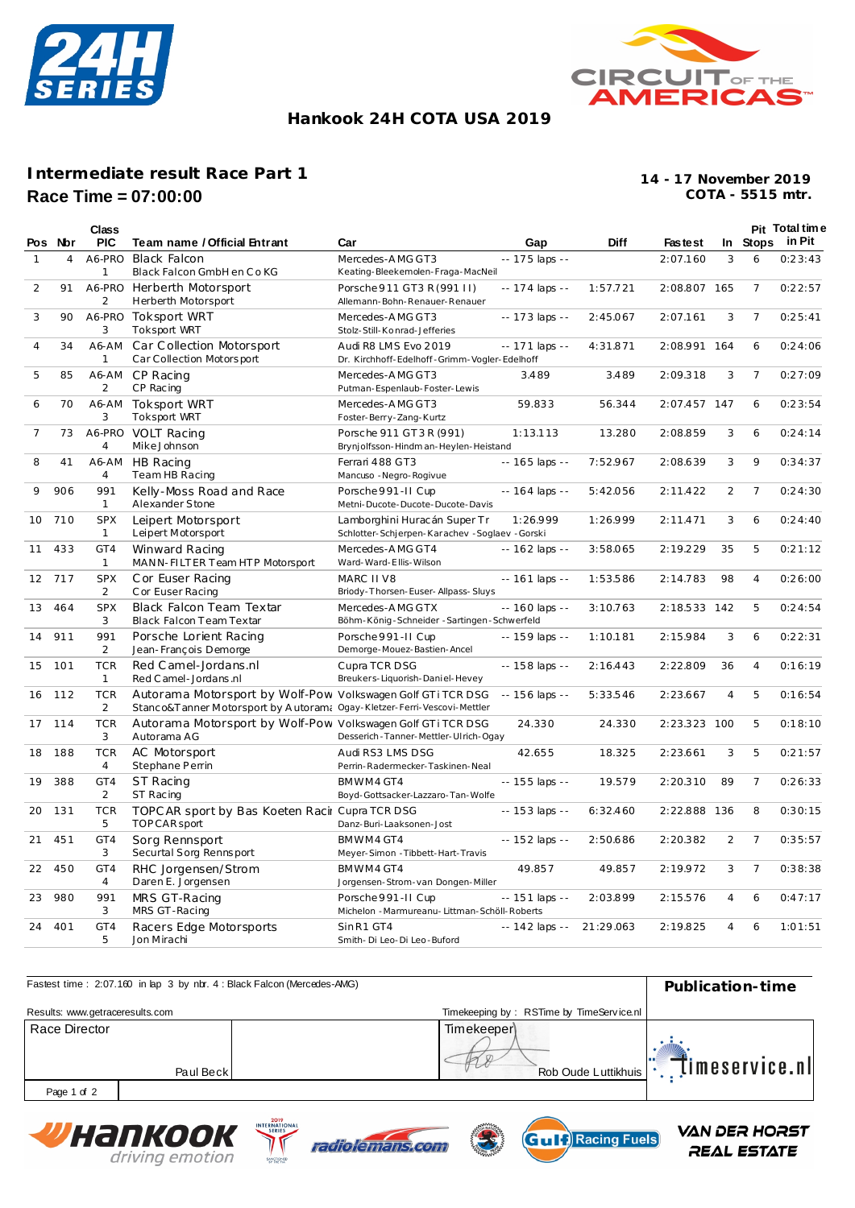



## **Hankook 24H COTA USA 2019**

## **Intermediate result Race Part 1 Race Time = 07:00:00**

**COTA - 5515 mtr. 14 - 17 November 2019**

|                |         | Class                        |                                                                                                                                        |                                                                                 |                 |             |              |     |                | Pit Total time  |
|----------------|---------|------------------------------|----------------------------------------------------------------------------------------------------------------------------------------|---------------------------------------------------------------------------------|-----------------|-------------|--------------|-----|----------------|-----------------|
|                | Pos Nor | <b>PIC</b>                   | Team name / Official Entrant                                                                                                           | Car                                                                             | Gap             | <b>Diff</b> | Faste st     |     |                | In Stops in Pit |
| $\mathbf{1}$   | 4       | A6-PRO<br>1                  | <b>Black Falcon</b><br>Black Falcon GmbH en Co KG                                                                                      | Mercedes-AMG GT3<br>Keating-Bleekemolen-Fraga-MacNeil                           | -- 175 laps --  |             | 2:07.160     | 3   | 6              | 0:23:43         |
| 2              | 91      | A6-PRO<br>2                  | Herberth Motorsport<br>Herberth Motorsport                                                                                             | Porsche 911 GT3 R (991 II)<br>Allemann-Bohn-Renauer-Renauer                     | -- 174 laps --  | 1:57.721    | 2:08.807 165 |     | $\overline{7}$ | 0:22:57         |
| 3              | 90      | 3                            | A6-PRO Toksport WRT<br><b>Toksport WRT</b>                                                                                             | Mercedes-AMG GT3<br>Stolz-Still-Konrad-Jefferies                                | -- 173 laps --  | 2:45.067    | 2:07.161     | 3   | $\overline{7}$ | 0:25:41         |
| $\overline{4}$ | 34      | A6-AM<br>$\mathbf{1}$        | Car Collection Motorsport<br>Car Collection Motorsport                                                                                 | Audi R8 LMS Evo 2019<br>Dr. Kirchhoff-Edelhoff-Grimm-Vogler-Edelhoff            | -- 171 laps --  | 4:31.871    | 2:08.991     | 164 | 6              | 0:24:06         |
| 5              | 85      | A6-AM<br>2                   | CP Racing<br>CP Racing                                                                                                                 | Mercedes-AMG GT3<br>Putman-Espenlaub-Foster-Lewis                               | 3.489           | 3.489       | 2:09.318     | 3   | $\overline{7}$ | 0:27:09         |
| 6              | 70      | A6-AM<br>3                   | <b>Toksport WRT</b><br>Toksport WRT                                                                                                    | Mercedes-AMG GT3<br>Foster-Berry-Zang-Kurtz                                     | 59.833          | 56.344      | 2:07.457 147 |     | 6              | 0:23:54         |
| $\overline{7}$ | 73      | A6-PRO<br>$\overline{4}$     | <b>VOLT Racing</b><br>MikeJohnson                                                                                                      | Porsche 911 GT3 R (991)<br>Brynjolfsson-Hindman-Heylen-Heistand                 | 1:13.113        | 13.280      | 2:08.859     | 3   | 6              | 0:24:14         |
| 8              | 41      | A6-AM<br>4                   | HB Racing<br>Team HB Racing                                                                                                            | Ferrari 488 GT3<br>Mancuso - Negro-Rogivue                                      | -- 165 laps --  | 7:52.967    | 2:08.639     | 3   | 9              | 0:34:37         |
| 9              | 906     | 991<br>$\mathbf{1}$          | Kelly-Moss Road and Race<br>Alexander Stone                                                                                            | Porsche 991-II Cup<br>Metni-Ducote-Ducote-Ducote-Davis                          | -- 164 laps --  | 5:42.056    | 2:11.422     | 2   | $\overline{7}$ | 0:24:30         |
| 10             | 710     | <b>SPX</b><br>$\mathbf{1}$   | Leipert Motorsport<br>Leipert Motorsport                                                                                               | Lamborghini Huracán Super Tr<br>Schlotter-Schjerpen-Karachev - Soglaev - Gorski | 1:26.999        | 1:26.999    | 2:11.471     | 3   | 6              | 0:24:40         |
| 11             | 433     | GT4<br>$\mathbf{1}$          | Winward Racing<br>MANN-FILTER Team HTP Motorsport                                                                                      | Mercedes-AMG GT4<br>Ward-Ward-Ellis-Wilson                                      | $-162$ laps $-$ | 3:58.065    | 2:19.229     | 35  | 5              | 0:21:12         |
| 12             | 717     | <b>SPX</b><br>$\overline{2}$ | C or Euser Racing<br>C or Euser Racing                                                                                                 | MARC II V8<br>Briody-Thorsen-Euser-Allpass-Sluys                                | $-161$ laps $-$ | 1:53.586    | 2:14.783     | 98  | $\overline{4}$ | 0:26:00         |
| 13             | 464     | <b>SPX</b><br>3              | Black Falcon Team Textar<br>Black Falcon Team Textar                                                                                   | Mercedes-AMG GTX<br>Böhm-König-Schneider-Sartingen-Schwerfeld                   | -- 160 laps --  | 3:10.763    | 2:18.533 142 |     | 5              | 0:24:54         |
| 14             | 911     | 991<br>2                     | Porsche Lorient Racing<br>Jean-François Demorge                                                                                        | Porsche 991-II Cup<br>Demorge-Mouez-Bastien-Ancel                               | -- 159 laps --  | 1:10.181    | 2:15.984     | 3   | 6              | 0:22:31         |
| 15             | 101     | <b>TCR</b><br>$\mathbf{1}$   | Red Camel-Jordans.nl<br>Red C amel - Jordans .nl                                                                                       | Cupra TCR DSG<br>Breukers-Liquorish-Daniel-Hevey                                | -- 158 laps --  | 2:16.443    | 2:22.809     | 36  | 4              | 0:16:19         |
| 16             | 112     | <b>TCR</b><br>2              | Autorama Motorsport by Wolf-Pow Volkswagen Golf GTiTCR DSG<br>Stanco&T anner Motorsport by Autoram: Ogay-Kletzer-Ferri-Vescovi-Mettler |                                                                                 | $-156$ laps $-$ | 5:33.546    | 2:23.667     | 4   | 5              | 0:16:54         |
| 17             | 114     | <b>TCR</b><br>3              | Autorama Motorsport by Wolf-Pow Volkswagen Golf GTiTCR DSG<br>Autorama AG                                                              | Desserich - Tanner-Mettler-Ulrich-Ogay                                          | 24.330          | 24.330      | 2:23.323 100 |     | 5              | 0:18:10         |
| 18             | 188     | <b>TCR</b><br>$\overline{4}$ | AC Motorsport<br>Stephane Perrin                                                                                                       | Audi RS3 LMS DSG<br>Perrin-Radermecker-Taskinen-Neal                            | 42.655          | 18.325      | 2:23.661     | 3   | 5              | 0:21:57         |
| 19             | 388     | GT4<br>2                     | ST Racing<br>ST Racing                                                                                                                 | BMWM4 GT4<br>Boyd-Gottsacker-Lazzaro-Tan-Wolfe                                  | -- 155 laps --  | 19.579      | 2:20.310     | 89  | 7              | 0:26:33         |
| 20             | 131     | <b>TCR</b><br>5              | TOPC AR sport by Bas Koeten Racir Cupra TCR DSG<br>TOPCAR sport                                                                        | Danz-Buri-Laaksonen-Jost                                                        | $-153$ laps $-$ | 6:32.460    | 2:22.888 136 |     | 8              | 0:30:15         |
| 21             | 451     | GT4<br>3                     | Sorg Rennsport<br>Securtal Sorg Rennsport                                                                                              | BMWM4 GT4<br>Meyer-Simon - Tibbett-Hart-Travis                                  | $-152$ laps $-$ | 2:50.686    | 2:20.382     | 2   | 7              | 0:35:57         |
| 22             | 450     | GT4<br>$\overline{4}$        | RHC Jorgensen/Strom<br>Daren E. Jorgensen                                                                                              | BMWM4 GT4<br>Jorgensen-Strom-van Dongen-Miller                                  | 49.857          | 49.857      | 2:19.972     | 3   | $\overline{7}$ | 0:38:38         |
| 23             | 980     | 991<br>3                     | MRS GT-Racing<br>MRS GT-Racing                                                                                                         | Porsche 991-II Cup<br>Michelon - Marmureanu- Littman-Schöll-Roberts             | -- 151 laps --  | 2:03.899    | 2:15.576     | 4   | 6              | 0:47:17         |
| 24             | 401     | GT4<br>5                     | Racers Edge Motorsports<br>Jon Mirachi                                                                                                 | SinR1 GT4<br>Smith-Di Leo-Di Leo-Buford                                         | -- 142 laps --  | 21:29.063   | 2:19.825     | 4   | 6              | 1:01:51         |

| Fastest time: 2:07.160 in lap 3 by nbr. 4 : Black Falcon (Mercedes-AMG) | Publication-time                         |                       |
|-------------------------------------------------------------------------|------------------------------------------|-----------------------|
| Results: www.getraceresults.com                                         | Timekeeping by: RSTime by TimeService.nl |                       |
| Race Director<br>Paul Beck                                              | <b>Timekeeper</b><br>Rob Oude Luttikhuis | <b>Timeservice.nl</b> |
| Page 1 of 2                                                             |                                          |                       |